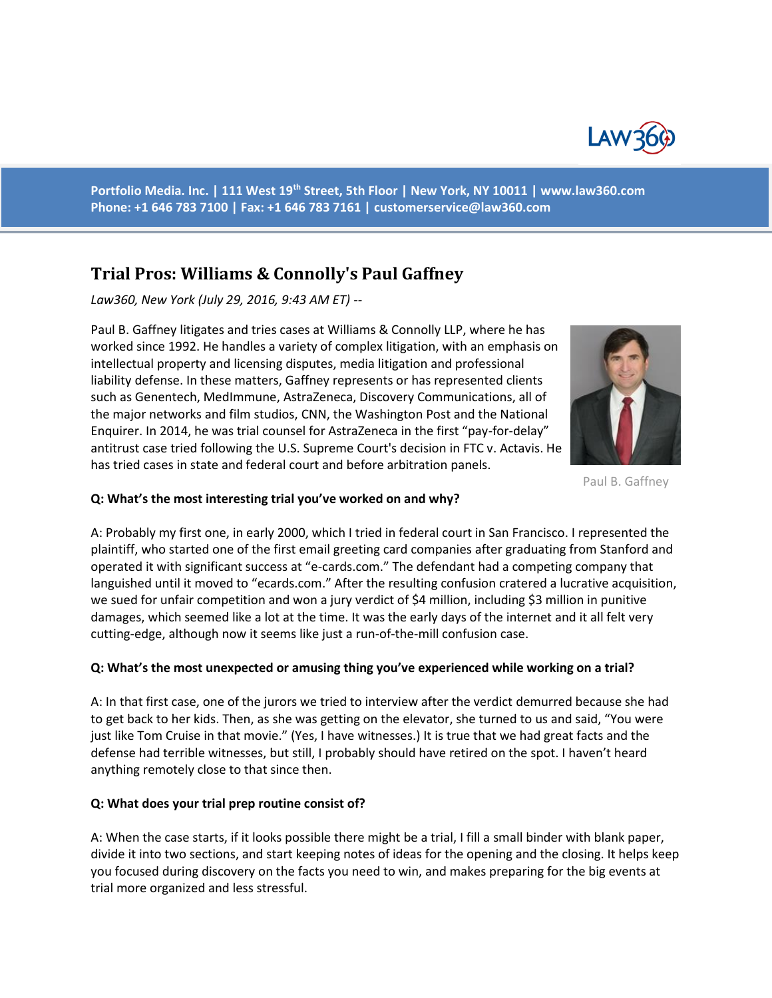

**Portfolio Media. Inc. | 111 West 19th Street, 5th Floor | New York, NY 10011 | www.law360.com Phone: +1 646 783 7100 | Fax: +1 646 783 7161 | [customerservice@law360.com](mailto:customerservice@law360.com)**

# **Trial Pros: Williams & Connolly's Paul Gaffney**

*Law360, New York (July 29, 2016, 9:43 AM ET) --*

Paul B. Gaffney litigates and tries cases at Williams & Connolly LLP, where he has worked since 1992. He handles a variety of complex litigation, with an emphasis on intellectual property and licensing disputes, media litigation and professional liability defense. In these matters, Gaffney represents or has represented clients such as Genentech, MedImmune, AstraZeneca, Discovery Communications, all of the major networks and film studios, CNN, the Washington Post and the National Enquirer. In 2014, he was trial counsel for AstraZeneca in the first "pay-for-delay" antitrust case tried following the U.S. Supreme Court's decision in FTC v. Actavis. He has tried cases in state and federal court and before arbitration panels.



Paul B. Gaffney

### **Q: What's the most interesting trial you've worked on and why?**

A: Probably my first one, in early 2000, which I tried in federal court in San Francisco. I represented the plaintiff, who started one of the first email greeting card companies after graduating from Stanford and operated it with significant success at "e-cards.com." The defendant had a competing company that languished until it moved to "ecards.com." After the resulting confusion cratered a lucrative acquisition, we sued for unfair competition and won a jury verdict of \$4 million, including \$3 million in punitive damages, which seemed like a lot at the time. It was the early days of the internet and it all felt very cutting-edge, although now it seems like just a run-of-the-mill confusion case.

## **Q: What's the most unexpected or amusing thing you've experienced while working on a trial?**

A: In that first case, one of the jurors we tried to interview after the verdict demurred because she had to get back to her kids. Then, as she was getting on the elevator, she turned to us and said, "You were just like Tom Cruise in that movie." (Yes, I have witnesses.) It is true that we had great facts and the defense had terrible witnesses, but still, I probably should have retired on the spot. I haven't heard anything remotely close to that since then.

#### **Q: What does your trial prep routine consist of?**

A: When the case starts, if it looks possible there might be a trial, I fill a small binder with blank paper, divide it into two sections, and start keeping notes of ideas for the opening and the closing. It helps keep you focused during discovery on the facts you need to win, and makes preparing for the big events at trial more organized and less stressful.